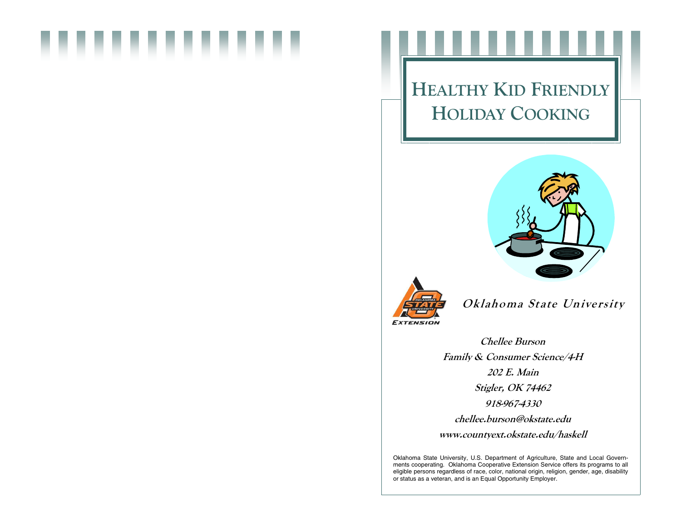# HEALTHY KID FRIENDLYHOLIDAY COOKING





Oklahoma State University

Chellee Burson Family & Consumer Science/4-H 202 E. Main Stigler, OK 74462 918-967-4330 chellee.burson@okstate.edu www.countyext.okstate.edu/haskell

Oklahoma State University, U.S. Department of Agriculture, State and Local Governments cooperating. Oklahoma Cooperative Extension Service offers its programs to all eligible persons regardless of race, color, national origin, religion, gender, age, disability or status as a veteran, and is an Equal Opportunity Employer.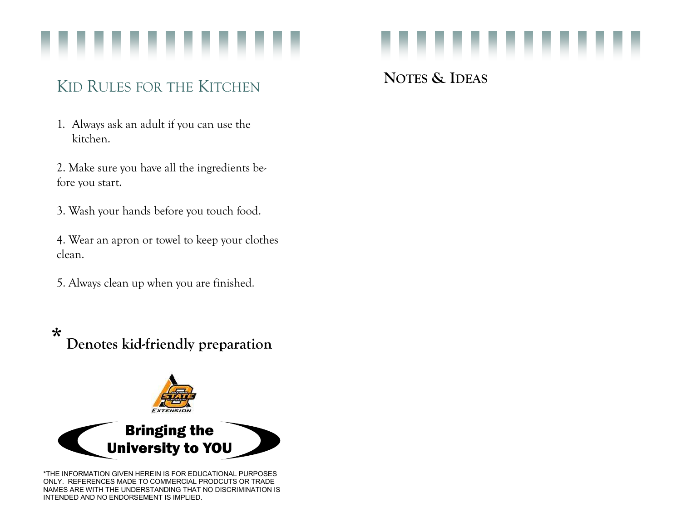

# KID RULES FOR THE KITCHEN

1. Always ask an adult if you can use the kitchen.

2. Make sure you have all the ingredients before you start.

3. Wash your hands before you touch food.

4. Wear an apron or towel to keep your clothes clean.

5. Always clean up when you are finished.

\*Denotes kid-friendly preparation



\*THE INFORMATION GIVEN HEREIN IS FOR EDUCATIONAL PURPOSES ONLY. REFERENCES MADE TO COMMERCIAL PRODCUTS OR TRADE NAMES ARE WITH THE UNDERSTANDING THAT NO DISCRIMINATION IS INTENDED AND NO ENDORSEMENT IS IMPLIED.



NOTES & IDEAS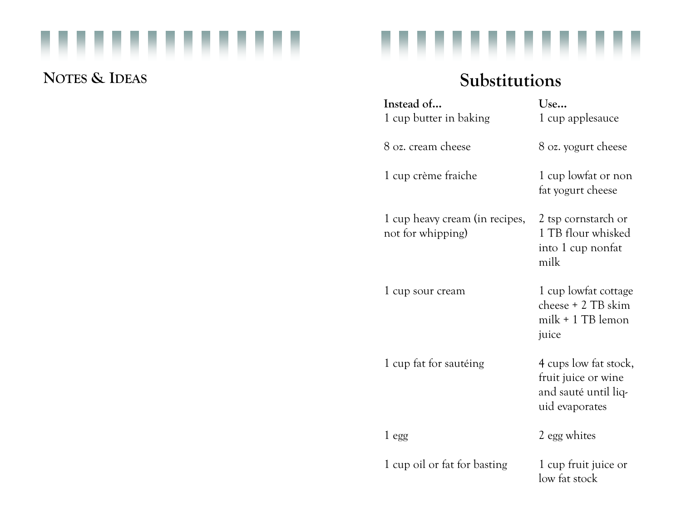### ,,,,,,,,, ..

## NOTES & IDEAS



# Substitutions

| Instead of<br>1 cup butter in baking                | Use<br>1 cup applesauce                                                                |
|-----------------------------------------------------|----------------------------------------------------------------------------------------|
| 8 oz. cream cheese                                  | 8 oz. yogurt cheese                                                                    |
| 1 cup crème fraiche                                 | 1 cup lowfat or non<br>fat yogurt cheese                                               |
| 1 cup heavy cream (in recipes,<br>not for whipping) | 2 tsp cornstarch or<br>1 TB flour whisked<br>into 1 cup nonfat<br>milk                 |
| 1 cup sour cream                                    | 1 cup lowfat cottage<br>cheese + 2 TB skim<br>$milk + 1 TB$ lemon<br>juice             |
| 1 cup fat for sautéing                              | 4 cups low fat stock,<br>fruit juice or wine<br>and sauté until liq-<br>uid evaporates |
| 1 egg                                               | 2 egg whites                                                                           |
| 1 cup oil or fat for basting                        | 1 cup fruit juice or<br>low fat stock                                                  |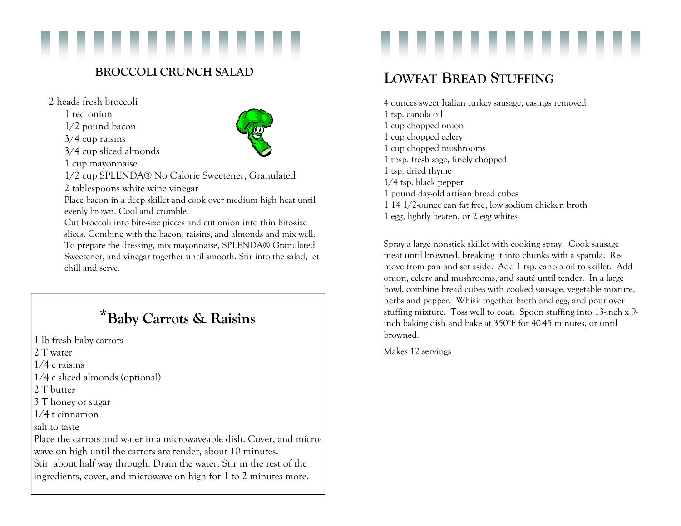

### BROCCOLI CRUNCH SALAD

2 heads fresh broccoli

1 red onion

1/2 pound bacon

3/4 cup raisins

3/4 cup sliced almonds

1 cup mayonnaise

1/2 cup SPLENDA® No Calorie Sweetener, Granulated

2 tablespoons white wine vinegar

 Place bacon in a deep skillet and cook over medium high heat until evenly brown. Cool and crumble.

 Cut broccoli into bite-size pieces and cut onion into thin bite-size slices. Combine with the bacon, raisins, and almonds and mix well. To prepare the dressing, mix mayonnaise, SPLENDA® Granulated Sweetener, and vinegar together until smooth. Stir into the salad, let chill and serve.

## \*Baby Carrots & Raisins

1 lb fresh baby carrots 2 T water

1/4 c raisins

1/4 c sliced almonds (optional)

2 T butter

3 T honey or sugar

1/4 t cinnamon

salt to taste

Place the carrots and water in a microwaveable dish. Cover, and microwave on high until the carrots are tender, about 10 minutes. Stir about half way through. Drain the water. Stir in the rest of the ingredients, cover, and microwave on high for 1 to 2 minutes more.



## LOWFAT BREAD STUFFING

4 ounces sweet Italian turkey sausage, casings removed 1 tsp. canola oil 1 cup chopped onion 1 cup chopped celery 1 cup chopped mushrooms 1 tbsp. fresh sage, finely chopped 1 tsp. dried thyme 1/4 tsp. black pepper 1 pound day-old artisan bread cubes 1 14 1/2-ounce can fat free, low sodium chicken broth 1 egg, lightly beaten, or 2 egg whites

Spray a large nonstick skillet with cooking spray. Cook sausage meat until browned, breaking it into chunks with a spatula. Remove from pan and set aside. Add 1 tsp. canola oil to skillet. Add onion, celery and mushrooms, and sauté until tender. In a large bowl, combine bread cubes with cooked sausage, vegetable mixture, herbs and pepper. Whisk together broth and egg, and pour over stuffing mixture. Toss well to coat. Spoon stuffing into 13-inch x 9 inch baking dish and bake at 350°F for 40-45 minutes, or until browned.

Makes 12 servings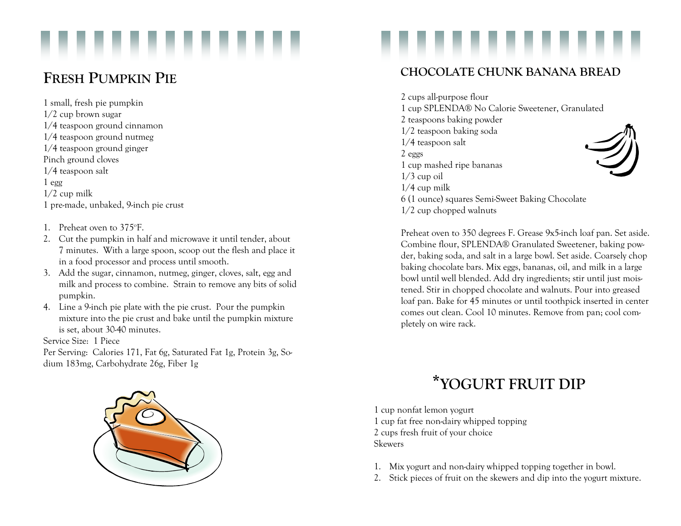

## FRESH PUMPKIN PIE

1 small, fresh pie pumpkin 1/2 cup brown sugar 1/4 teaspoon ground cinnamon 1/4 teaspoon ground nutmeg 1/4 teaspoon ground ginger Pinch ground cloves 1/4 teaspoon salt 1 egg 1/2 cup milk 1 pre-made, unbaked, 9-inch pie crust

- 1. Preheat oven to 375°F.  $\,$
- 2. Cut the pumpkin in half and microwave it until tender, about 7 minutes. With a large spoon, scoop out the flesh and place it in a food processor and process until smooth.
- 3. Add the sugar, cinnamon, nutmeg, ginger, cloves, salt, egg and milk and process to combine. Strain to remove any bits of solid pumpkin.
- 4. Line a 9-inch pie plate with the pie crust. Pour the pumpkin mixture into the pie crust and bake until the pumpkin mixture is set, about 30-40 minutes.

Service Size: 1 Piece

Per Serving: Calories 171, Fat 6g, Saturated Fat 1g, Protein 3g, Sodium 183mg, Carbohydrate 26g, Fiber 1g



### CHOCOLATE CHUNK BANANA BREAD

2 cups all-purpose flour 1 cup SPLENDA® No Calorie Sweetener, Granulated 2 teaspoons baking powder 1/2 teaspoon baking soda 1/4 teaspoon salt 2 eggs 1 cup mashed ripe bananas  $1/3$  cup oil 1/4 cup milk 6 (1 ounce) squares Semi-Sweet Baking Chocolate 1/2 cup chopped walnuts

Preheat oven to 350 degrees F. Grease 9x5-inch loaf pan. Set aside. Combine flour, SPLENDA® Granulated Sweetener, baking powder, baking soda, and salt in a large bowl. Set aside. Coarsely chop baking chocolate bars. Mix eggs, bananas, oil, and milk in a large bowl until well blended. Add dry ingredients; stir until just moistened. Stir in chopped chocolate and walnuts. Pour into greased loaf pan. Bake for 45 minutes or until toothpick inserted in center comes out clean. Cool 10 minutes. Remove from pan; cool completely on wire rack.

# \*YOGURT FRUIT DIP

1 cup nonfat lemon yogurt 1 cup fat free non-dairy whipped topping 2 cups fresh fruit of your choice Skewers

- 1. Mix yogurt and non-dairy whipped topping together in bowl.
- 2. Stick pieces of fruit on the skewers and dip into the yogurt mixture.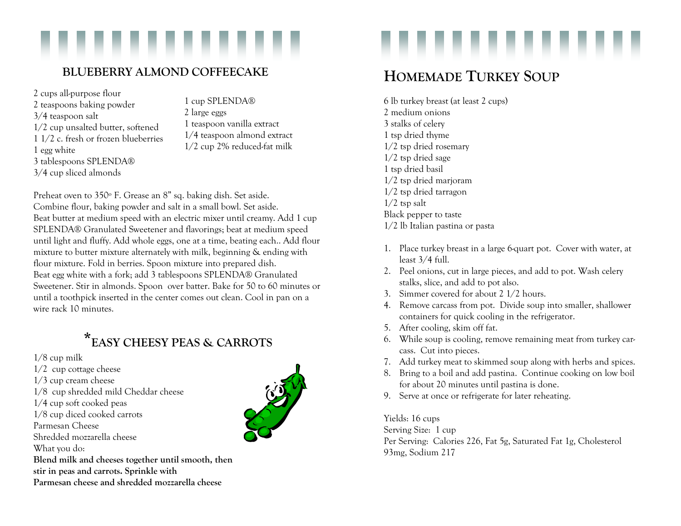### BLUEBERRY ALMOND COFFEECAKE

2 cups all-purpose flour 2 teaspoons baking powder 3/4 teaspoon salt 1/2 cup unsalted butter, softened 1 1/2 c. fresh or frozen blueberries 1 egg white 3 tablespoons SPLENDA® 3/4 cup sliced almonds

1 cup SPLENDA® 2 large eggs 1 teaspoon vanilla extract 1/4 teaspoon almond extract 1/2 cup 2% reduced-fat milk

Preheat oven to 350º F. Grease an 8" sq. baking dish. Set aside. Combine flour, baking powder and salt in a small bowl. Set aside. Beat butter at medium speed with an electric mixer until creamy. Add 1 cup SPLENDA® Granulated Sweetener and flavorings; beat at medium speed until light and fluffy. Add whole eggs, one at a time, beating each.. Add flour mixture to butter mixture alternately with milk, beginning & ending with flour mixture. Fold in berries. Spoon mixture into prepared dish. Beat egg white with a fork; add 3 tablespoons SPLENDA® Granulated Sweetener. Stir in almonds. Spoon over batter. Bake for 50 to 60 minutes or until a toothpick inserted in the center comes out clean. Cool in pan on a wire rack 10 minutes.

## \*EASY CHEESY PEAS & CARROTS

1/8 cup milk

- 1/2 cup cottage cheese
- 1/3 cup cream cheese
- 1/8 cup shredded mild Cheddar cheese
- 1/4 cup soft cooked peas
- 1/8 cup diced cooked carrots
- Parmesan Cheese
- Shredded mozzarella cheese
- What you do:

Blend milk and cheeses together until smooth, then stir in peas and carrots. Sprinkle with Parmesan cheese and shredded mozzarella cheese



## HOMEMADE TURKEY SOUP

6 lb turkey breast (at least 2 cups) 2 medium onions 3 stalks of celery 1 tsp dried thyme 1/2 tsp dried rosemary 1/2 tsp dried sage 1 tsp dried basil 1/2 tsp dried marjoram 1/2 tsp dried tarragon  $1/2$  tsp salt Black pepper to taste 1/2 lb Italian pastina or pasta

- 1. Place turkey breast in a large 6-quart pot. Cover with water, at least 3/4 full.
- 2. Peel onions, cut in large pieces, and add to pot. Wash celery stalks, slice, and add to pot also.
- 3. Simmer covered for about 2 1/2 hours.
- 4. Remove carcass from pot. Divide soup into smaller, shallower containers for quick cooling in the refrigerator.
- 5. After cooling, skim off fat.
- 6. While soup is cooling, remove remaining meat from turkey carcass. Cut into pieces.
- 7. Add turkey meat to skimmed soup along with herbs and spices.
- 8. Bring to a boil and add pastina. Continue cooking on low boil for about 20 minutes until pastina is done.
- 9. Serve at once or refrigerate for later reheating.

Yields: 16 cups

Serving Size: 1 cup

Per Serving: Calories 226, Fat 5g, Saturated Fat 1g, Cholesterol 93mg, Sodium 217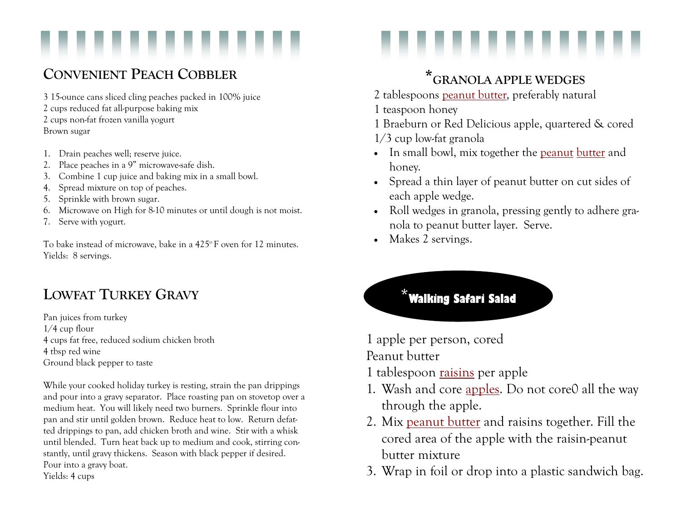## CONVENIENT PEACH COBBLER

3 15-ounce cans sliced cling peaches packed in 100% juice 2 cups reduced fat all-purpose baking mix 2 cups non-fat frozen vanilla yogurt Brown sugar

- 1. Drain peaches well; reserve juice.
- 2. Place peaches in a 9" microwave-safe dish.
- 3. Combine 1 cup juice and baking mix in a small bowl.
- 4. Spread mixture on top of peaches.
- 5. Sprinkle with brown sugar.
- 6. Microwave on High for 8-10 minutes or until dough is not moist.
- 7. Serve with yogurt.

To bake instead of microwave, bake in a  $425^{\circ}$  F oven for 12 minutes. Yields: 8 servings.

## LOWFAT TURKEY GRAVY

Pan juices from turkey 1/4 cup flour 4 cups fat free, reduced sodium chicken broth 4 tbsp red wine Ground black pepper to taste

While your cooked holiday turkey is resting, strain the pan drippings and pour into a gravy separator. Place roasting pan on stovetop over a medium heat. You will likely need two burners. Sprinkle flour into pan and stir until golden brown. Reduce heat to low. Return defatted drippings to pan, add chicken broth and wine. Stir with a whisk until blended. Turn heat back up to medium and cook, stirring constantly, until gravy thickens. Season with black pepper if desired. Pour into a gravy boat. Yields: 4 cups

# \*GRANOLA APPLE WEDGES

- 2 tablespoons <u>peanut butter</u>, preferably natural
- 1 teaspoon honey
- 1 Braeburn or Red Delicious apple, quartered & cored
- 1/3 cup low-fat granola
- In small bowl, mix together the <u>peanut butter</u> and honey.
- Spread a thin layer of peanut butter on cut sides of each apple wedge.
- Roll wedges in granola, pressing gently to adhere granola to peanut butter layer. Serve.
- Makes 2 servings.

## \***Walking Safari Salad**

1 apple per person, cored

Peanut butter

- 1 tablespoon raisins per apple
- 1. Wash and core apples. Do not core0 all the way through the apple.
- 2. Mix peanut butter and raisins together. Fill the cored area of the apple with the raisin-peanut butter mixture
- 3. Wrap in foil or drop into a plastic sandwich bag.